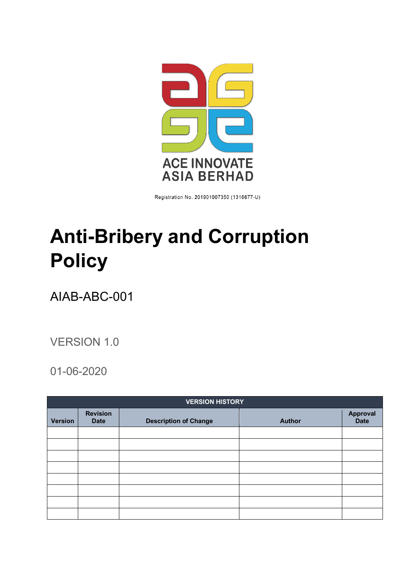

Registration No. 201901007350 (1316677-U)

# <span id="page-0-0"></span>**Anti-Bribery and Corruption Policy**

# AIAB-ABC-001

## VERSION 1.0

### 01-06-2020

| <b>VERSION HISTORY</b> |                                |                              |               |                                |  |  |  |
|------------------------|--------------------------------|------------------------------|---------------|--------------------------------|--|--|--|
| <b>Version</b>         | <b>Revision</b><br><b>Date</b> | <b>Description of Change</b> | <b>Author</b> | <b>Approval</b><br><b>Date</b> |  |  |  |
|                        |                                |                              |               |                                |  |  |  |
|                        |                                |                              |               |                                |  |  |  |
|                        |                                |                              |               |                                |  |  |  |
|                        |                                |                              |               |                                |  |  |  |
|                        |                                |                              |               |                                |  |  |  |
|                        |                                |                              |               |                                |  |  |  |
|                        |                                |                              |               |                                |  |  |  |
|                        |                                |                              |               |                                |  |  |  |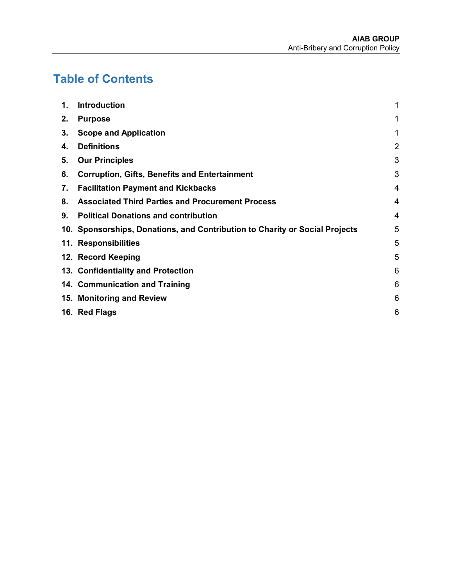# **Table of Contents**

| 1. | <b>Introduction</b>                                                         | 1              |
|----|-----------------------------------------------------------------------------|----------------|
| 2. | <b>Purpose</b>                                                              | 1              |
| 3. | <b>Scope and Application</b>                                                | 1              |
| 4. | <b>Definitions</b>                                                          | $\overline{2}$ |
| 5. | <b>Our Principles</b>                                                       | 3              |
| 6. | <b>Corruption, Gifts, Benefits and Entertainment</b>                        | 3              |
| 7. | <b>Facilitation Payment and Kickbacks</b>                                   | 4              |
| 8. | <b>Associated Third Parties and Procurement Process</b>                     | 4              |
| 9. | <b>Political Donations and contribution</b>                                 | 4              |
|    | 10. Sponsorships, Donations, and Contribution to Charity or Social Projects | 5              |
|    | 11. Responsibilities                                                        | 5              |
|    | 12. Record Keeping                                                          | 5              |
|    | 13. Confidentiality and Protection                                          | 6              |
|    | 14. Communication and Training                                              | 6              |
|    | 15. Monitoring and Review                                                   | 6              |
|    | 16. Red Flags                                                               | 6              |
|    |                                                                             |                |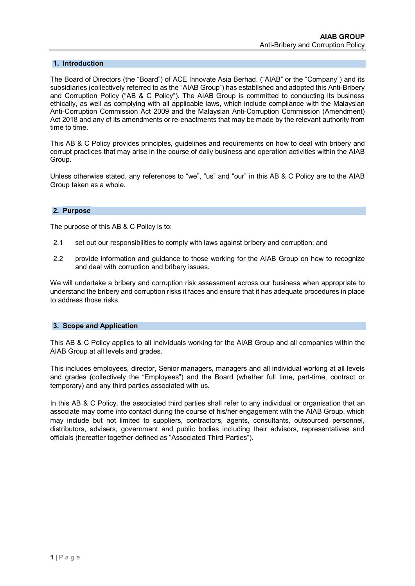#### <span id="page-2-0"></span>**1. Introduction**

The Board of Directors (the "Board") of ACE Innovate Asia Berhad. ("AIAB" or the "Company") and its subsidiaries (collectively referred to as the "AIAB Group") has established and adopted this Anti-Bribery and Corruption Policy ("AB & C Policy"). The AIAB Group is committed to conducting its business ethically, as well as complying with all applicable laws, which include compliance with the Malaysian Anti-Corruption Commission Act 2009 and the Malaysian Anti-Corruption Commission (Amendment) Act 2018 and any of its amendments or re-enactments that may be made by the relevant authority from time to time.

This AB & C Policy provides principles, guidelines and requirements on how to deal with bribery and corrupt practices that may arise in the course of daily business and operation activities within the AIAB Group.

<span id="page-2-1"></span>Unless otherwise stated, any references to "we", "us" and "our" in this AB & C Policy are to the AIAB Group taken as a whole.

#### **2. Purpose**

The purpose of this AB & C Policy is to:

- 2.1 set out our responsibilities to comply with laws against bribery and corruption; and
- 2.2 provide information and guidance to those working for the AIAB Group on how to recognize and deal with corruption and bribery issues.

<span id="page-2-2"></span>We will undertake a bribery and corruption risk assessment across our business when appropriate to understand the bribery and corruption risks it faces and ensure that it has adequate procedures in place to address those risks.

#### **3. Scope and Application**

This AB & C Policy applies to all individuals working for the AIAB Group and all companies within the AIAB Group at all levels and grades.

This includes employees, director, Senior managers, managers and all individual working at all levels and grades (collectively the "Employees") and the Board (whether full time, part-time, contract or temporary) and any third parties associated with us.

In this AB & C Policy, the associated third parties shall refer to any individual or organisation that an associate may come into contact during the course of his/her engagement with the AIAB Group, which may include but not limited to suppliers, contractors, agents, consultants, outsourced personnel, distributors, advisers, government and public bodies including their advisors, representatives and officials (hereafter together defined as "Associated Third Parties").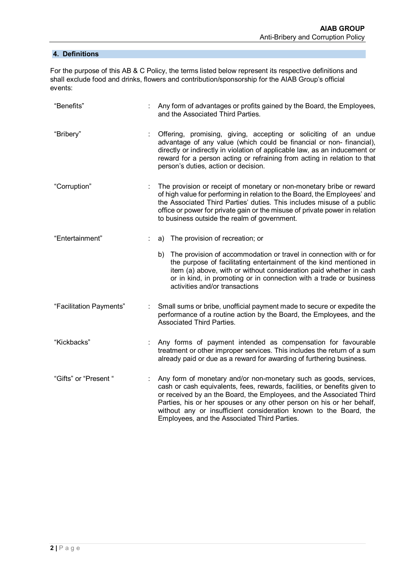#### <span id="page-3-0"></span>**4. Definitions**

For the purpose of this AB & C Policy, the terms listed below represent its respective definitions and shall exclude food and drinks, flowers and contribution/sponsorship for the AIAB Group's official events:

| "Benefits"              | Any form of advantages or profits gained by the Board, the Employees,<br>and the Associated Third Parties.                                                                                                                                                                                                                                                                                                           |
|-------------------------|----------------------------------------------------------------------------------------------------------------------------------------------------------------------------------------------------------------------------------------------------------------------------------------------------------------------------------------------------------------------------------------------------------------------|
| "Bribery"               | Offering, promising, giving, accepting or soliciting of an undue<br>advantage of any value (which could be financial or non-financial),<br>directly or indirectly in violation of applicable law, as an inducement or<br>reward for a person acting or refraining from acting in relation to that<br>person's duties, action or decision.                                                                            |
| "Corruption"            | The provision or receipt of monetary or non-monetary bribe or reward<br>of high value for performing in relation to the Board, the Employees' and<br>the Associated Third Parties' duties. This includes misuse of a public<br>office or power for private gain or the misuse of private power in relation<br>to business outside the realm of government.                                                           |
| "Entertainment"         | The provision of recreation; or<br>a)                                                                                                                                                                                                                                                                                                                                                                                |
|                         | b) The provision of accommodation or travel in connection with or for<br>the purpose of facilitating entertainment of the kind mentioned in<br>item (a) above, with or without consideration paid whether in cash<br>or in kind, in promoting or in connection with a trade or business<br>activities and/or transactions                                                                                            |
| "Facilitation Payments" | Small sums or bribe, unofficial payment made to secure or expedite the<br>performance of a routine action by the Board, the Employees, and the<br><b>Associated Third Parties.</b>                                                                                                                                                                                                                                   |
| "Kickbacks"             | Any forms of payment intended as compensation for favourable<br>treatment or other improper services. This includes the return of a sum<br>already paid or due as a reward for awarding of furthering business.                                                                                                                                                                                                      |
| "Gifts" or "Present "   | Any form of monetary and/or non-monetary such as goods, services,<br>cash or cash equivalents, fees, rewards, facilities, or benefits given to<br>or received by an the Board, the Employees, and the Associated Third<br>Parties, his or her spouses or any other person on his or her behalf,<br>without any or insufficient consideration known to the Board, the<br>Employees, and the Associated Third Parties. |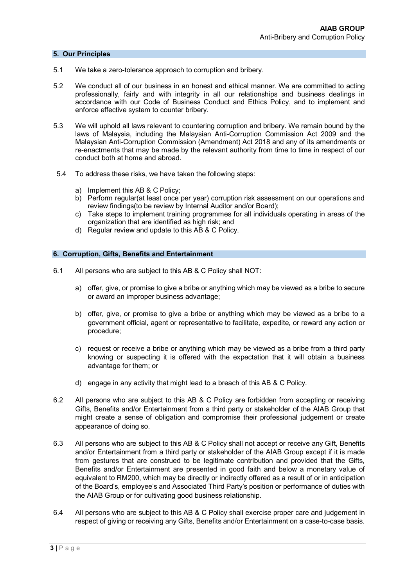#### <span id="page-4-0"></span>**5. Our Principles**

- 5.1 We take a zero-tolerance approach to corruption and bribery.
- 5.2 We conduct all of our business in an honest and ethical manner. We are committed to acting professionally, fairly and with integrity in all our relationships and business dealings in accordance with our Code of Business Conduct and Ethics Policy, and to implement and enforce effective system to counter bribery.
- 5.3 We will uphold all laws relevant to countering corruption and bribery. We remain bound by the laws of Malaysia, including the Malaysian Anti-Corruption Commission Act 2009 and the Malaysian Anti-Corruption Commission (Amendment) Act 2018 and any of its amendments or re-enactments that may be made by the relevant authority from time to time in respect of our conduct both at home and abroad.
- 5.4 To address these risks, we have taken the following steps:
	- a) Implement this AB & C Policy;
	- b) Perform regular(at least once per year) corruption risk assessment on our operations and review findings(to be review by Internal Auditor and/or Board);
	- c) Take steps to implement training programmes for all individuals operating in areas of the organization that are identified as high risk; and
	- d) Regular review and update to this AB & C Policy.

#### <span id="page-4-1"></span>**6. Corruption, Gifts, Benefits and Entertainment**

- 6.1 All persons who are subject to this AB & C Policy shall NOT:
	- a) offer, give, or promise to give a bribe or anything which may be viewed as a bribe to secure or award an improper business advantage;
	- b) offer, give, or promise to give a bribe or anything which may be viewed as a bribe to a government official, agent or representative to facilitate, expedite, or reward any action or procedure;
	- c) request or receive a bribe or anything which may be viewed as a bribe from a third party knowing or suspecting it is offered with the expectation that it will obtain a business advantage for them; or
	- d) engage in any activity that might lead to a breach of this AB & C Policy.
- 6.2 All persons who are subject to this AB & C Policy are forbidden from accepting or receiving Gifts, Benefits and/or Entertainment from a third party or stakeholder of the AIAB Group that might create a sense of obligation and compromise their professional judgement or create appearance of doing so.
- 6.3 All persons who are subject to this AB & C Policy shall not accept or receive any Gift, Benefits and/or Entertainment from a third party or stakeholder of the AIAB Group except if it is made from gestures that are construed to be legitimate contribution and provided that the Gifts, Benefits and/or Entertainment are presented in good faith and below a monetary value of equivalent to RM200, which may be directly or indirectly offered as a result of or in anticipation of the Board's, employee's and Associated Third Party's position or performance of duties with the AIAB Group or for cultivating good business relationship.
- 6.4 All persons who are subject to this AB & C Policy shall exercise proper care and judgement in respect of giving or receiving any Gifts, Benefits and/or Entertainment on a case-to-case basis.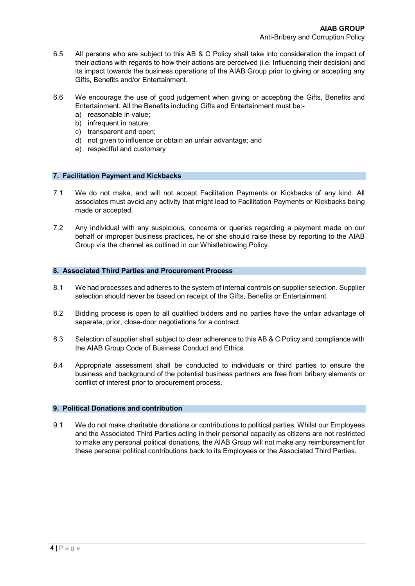- 6.5 All persons who are subject to this AB & C Policy shall take into consideration the impact of their actions with regards to how their actions are perceived (i.e. Influencing their decision) and its impact towards the business operations of the AIAB Group prior to giving or accepting any Gifts, Benefits and/or Entertainment.
- 6.6 We encourage the use of good judgement when giving or accepting the Gifts, Benefits and Entertainment. All the Benefits including Gifts and Entertainment must be:
	- a) reasonable in value;
	- b) infrequent in nature;
	- c) transparent and open;
	- d) not given to influence or obtain an unfair advantage; and
	- e) respectful and customary

#### <span id="page-5-0"></span>**7. Facilitation Payment and Kickbacks**

- 7.1 We do not make, and will not accept Facilitation Payments or Kickbacks of any kind. All associates must avoid any activity that might lead to Facilitation Payments or Kickbacks being made or accepted.
- <span id="page-5-1"></span>7.2 Any individual with any suspicious, concerns or queries regarding a payment made on our behalf or improper business practices, he or she should raise these by reporting to the AIAB Group via the channel as outlined in our Whistleblowing Policy.

#### **8. Associated Third Parties and Procurement Process**

- 8.1 We had processes and adheres to the system of internal controls on supplier selection. Supplier selection should never be based on receipt of the Gifts, Benefits or Entertainment.
- 8.2 Bidding process is open to all qualified bidders and no parties have the unfair advantage of separate, prior, close-door negotiations for a contract.
- 8.3 Selection of supplier shall subject to clear adherence to this AB & C Policy and compliance with the AIAB Group Code of Business Conduct and Ethics.
- <span id="page-5-2"></span>8.4 Appropriate assessment shall be conducted to individuals or third parties to ensure the business and background of the potential business partners are free from bribery elements or conflict of interest prior to procurement process.

#### **9. Political Donations and contribution**

9.1 We do not make charitable donations or contributions to political parties. Whilst our Employees and the Associated Third Parties acting in their personal capacity as citizens are not restricted to make any personal political donations, the AIAB Group will not make any reimbursement for these personal political contributions back to its Employees or the Associated Third Parties.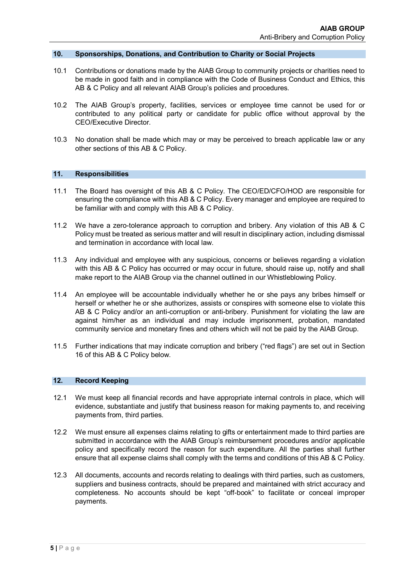#### <span id="page-6-0"></span>**10. Sponsorships, Donations, and Contribution to Charity or Social Projects**

- 10.1 Contributions or donations made by the AIAB Group to community projects or charities need to be made in good faith and in compliance with the Code of Business Conduct and Ethics, this AB & C Policy and all relevant AIAB Group's policies and procedures.
- 10.2 The AIAB Group's property, facilities, services or employee time cannot be used for or contributed to any political party or candidate for public office without approval by the CEO/Executive Director.
- <span id="page-6-1"></span>10.3 No donation shall be made which may or may be perceived to breach applicable law or any other sections of this AB & C Policy.

#### **11. Responsibilities**

- 11.1 The Board has oversight of this AB & C Policy. The CEO/ED/CFO/HOD are responsible for ensuring the compliance with this AB & C Policy. Every manager and employee are required to be familiar with and comply with this AB & C Policy.
- 11.2 We have a zero-tolerance approach to corruption and bribery. Any violation of this AB & C Policy must be treated as serious matter and will result in disciplinary action, including dismissal and termination in accordance with local law.
- 11.3 Any individual and employee with any suspicious, concerns or believes regarding a violation with this AB & C Policy has occurred or may occur in future, should raise up, notify and shall make report to the AIAB Group via the channel outlined in our Whistleblowing Policy.
- 11.4 An employee will be accountable individually whether he or she pays any bribes himself or herself or whether he or she authorizes, assists or conspires with someone else to violate this AB & C Policy and/or an anti-corruption or anti-bribery. Punishment for violating the law are against him/her as an individual and may include imprisonment, probation, mandated community service and monetary fines and others which will not be paid by the AIAB Group.
- <span id="page-6-2"></span>11.5 Further indications that may indicate corruption and bribery ("red flags") are set out in Section 16 of this AB & C Policy below.

#### **12. Record Keeping**

- 12.1 We must keep all financial records and have appropriate internal controls in place, which will evidence, substantiate and justify that business reason for making payments to, and receiving payments from, third parties.
- 12.2 We must ensure all expenses claims relating to gifts or entertainment made to third parties are submitted in accordance with the AIAB Group's reimbursement procedures and/or applicable policy and specifically record the reason for such expenditure. All the parties shall further ensure that all expense claims shall comply with the terms and conditions of this AB & C Policy.
- 12.3 All documents, accounts and records relating to dealings with third parties, such as customers, suppliers and business contracts, should be prepared and maintained with strict accuracy and completeness. No accounts should be kept "off-book" to facilitate or conceal improper payments.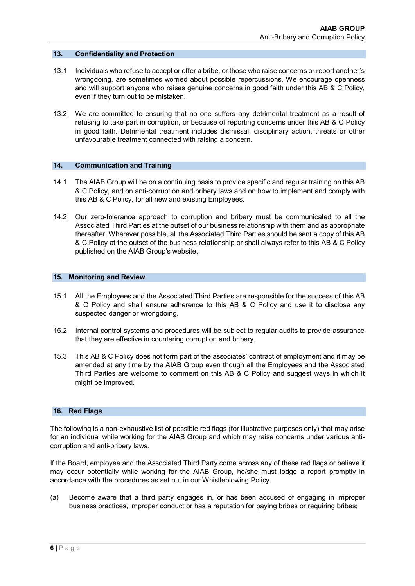#### <span id="page-7-0"></span>**13. Confidentiality and Protection**

- 13.1 Individuals who refuse to accept or offer a bribe, or those who raise concerns or report another's wrongdoing, are sometimes worried about possible repercussions. We encourage openness and will support anyone who raises genuine concerns in good faith under this AB & C Policy, even if they turn out to be mistaken.
- <span id="page-7-1"></span>13.2 We are committed to ensuring that no one suffers any detrimental treatment as a result of refusing to take part in corruption, or because of reporting concerns under this AB & C Policy in good faith. Detrimental treatment includes dismissal, disciplinary action, threats or other unfavourable treatment connected with raising a concern.

#### **14. Communication and Training**

- 14.1 The AIAB Group will be on a continuing basis to provide specific and regular training on this AB & C Policy, and on anti-corruption and bribery laws and on how to implement and comply with this AB & C Policy, for all new and existing Employees.
- <span id="page-7-2"></span>14.2 Our zero-tolerance approach to corruption and bribery must be communicated to all the Associated Third Parties at the outset of our business relationship with them and as appropriate thereafter. Wherever possible, all the Associated Third Parties should be sent a copy of this AB & C Policy at the outset of the business relationship or shall always refer to this AB & C Policy published on the AIAB Group's website.

#### **15. Monitoring and Review**

- 15.1 All the Employees and the Associated Third Parties are responsible for the success of this AB & C Policy and shall ensure adherence to this AB & C Policy and use it to disclose any suspected danger or wrongdoing.
- 15.2 Internal control systems and procedures will be subject to regular audits to provide assurance that they are effective in countering corruption and bribery.
- <span id="page-7-3"></span>15.3 This AB & C Policy does not form part of the associates' contract of employment and it may be amended at any time by the AIAB Group even though all the Employees and the Associated Third Parties are welcome to comment on this AB & C Policy and suggest ways in which it might be improved.

#### **16. Red Flags**

The following is a non-exhaustive list of possible red flags (for illustrative purposes only) that may arise for an individual while working for the AIAB Group and which may raise concerns under various anticorruption and anti-bribery laws.

If the Board, employee and the Associated Third Party come across any of these red flags or believe it may occur potentially while working for the AIAB Group, he/she must lodge a report promptly in accordance with the procedures as set out in our Whistleblowing Policy.

(a) Become aware that a third party engages in, or has been accused of engaging in improper business practices, improper conduct or has a reputation for paying bribes or requiring bribes;